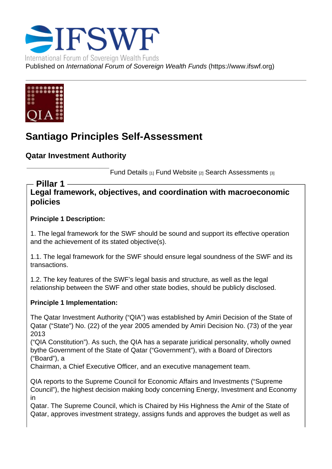# Santiago Principles Self-Assessment

Qatar Investment Authority

Fund Details [1] Fund Website [2] Search Assessments [3]

Legal framework, objectives, and coordination with macroeconomic policies Pillar 1

Principle 1 Description:

1. The legal framework for the SWF should be sound and support its effective operation and the achievement of its stated objective(s).

1.1. The legal framework for the SWF should ensure legal soundness of the SWF and its transactions.

1.2. The key features of the SWF's legal basis and structure, as well as the legal relationship between the SWF and other state bodies, should be publicly disclosed.

Principle 1 Implementation:

The Qatar Investment Authority ("QIA") was established by Amiri Decision of the State of Qatar ("State") No. (22) of the year 2005 amended by Amiri Decision No. (73) of the year 2013

("QIA Constitution"). As such, the QIA has a separate juridical personality, wholly owned bythe Government of the State of Qatar ("Government"), with a Board of Directors ("Board"), a

Chairman, a Chief Executive Officer, and an executive management team.

QIA reports to the Supreme Council for Economic Affairs and Investments ("Supreme Council"), the highest decision making body concerning Energy, Investment and Economy in

Qatar. The Supreme Council, which is Chaired by His Highness the Amir of the State of Qatar, approves investment strategy, assigns funds and approves the budget as well as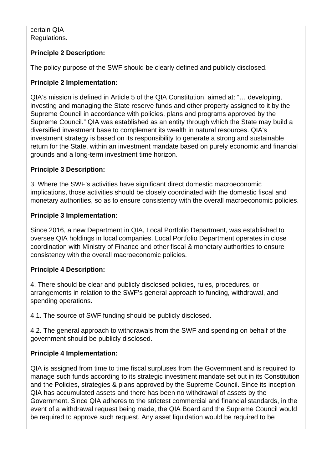certain QIA Regulations.

## **Principle 2 Description:**

The policy purpose of the SWF should be clearly defined and publicly disclosed.

## **Principle 2 Implementation:**

QIA's mission is defined in Article 5 of the QIA Constitution, aimed at: "… developing, investing and managing the State reserve funds and other property assigned to it by the Supreme Council in accordance with policies, plans and programs approved by the Supreme Council." QIA was established as an entity through which the State may build a diversified investment base to complement its wealth in natural resources. QIA's investment strategy is based on its responsibility to generate a strong and sustainable return for the State, within an investment mandate based on purely economic and financial grounds and a long-term investment time horizon.

## **Principle 3 Description:**

3. Where the SWF's activities have significant direct domestic macroeconomic implications, those activities should be closely coordinated with the domestic fiscal and monetary authorities, so as to ensure consistency with the overall macroeconomic policies.

## **Principle 3 Implementation:**

Since 2016, a new Department in QIA, Local Portfolio Department, was established to oversee QIA holdings in local companies. Local Portfolio Department operates in close coordination with Ministry of Finance and other fiscal & monetary authorities to ensure consistency with the overall macroeconomic policies.

#### **Principle 4 Description:**

4. There should be clear and publicly disclosed policies, rules, procedures, or arrangements in relation to the SWF's general approach to funding, withdrawal, and spending operations.

4.1. The source of SWF funding should be publicly disclosed.

4.2. The general approach to withdrawals from the SWF and spending on behalf of the government should be publicly disclosed.

## **Principle 4 Implementation:**

QIA is assigned from time to time fiscal surpluses from the Government and is required to manage such funds according to its strategic investment mandate set out in its Constitution and the Policies, strategies & plans approved by the Supreme Council. Since its inception, QIA has accumulated assets and there has been no withdrawal of assets by the Government. Since QIA adheres to the strictest commercial and financial standards, in the event of a withdrawal request being made, the QIA Board and the Supreme Council would be required to approve such request. Any asset liquidation would be required to be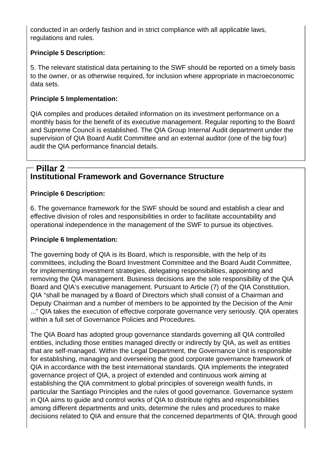conducted in an orderly fashion and in strict compliance with all applicable laws, regulations and rules.

## **Principle 5 Description:**

5. The relevant statistical data pertaining to the SWF should be reported on a timely basis to the owner, or as otherwise required, for inclusion where appropriate in macroeconomic data sets.

#### **Principle 5 Implementation:**

QIA compiles and produces detailed information on its investment performance on a monthly basis for the benefit of its executive management. Regular reporting to the Board and Supreme Council is established. The QIA Group Internal Audit department under the supervision of QIA Board Audit Committee and an external auditor (one of the big four) audit the QIA performance financial details.

## **Institutional Framework and Governance Structure Pillar 2**

#### **Principle 6 Description:**

6. The governance framework for the SWF should be sound and establish a clear and effective division of roles and responsibilities in order to facilitate accountability and operational independence in the management of the SWF to pursue its objectives.

#### **Principle 6 Implementation:**

The governing body of QIA is its Board, which is responsible, with the help of its committees, including the Board Investment Committee and the Board Audit Committee, for implementing investment strategies, delegating responsibilities, appointing and removing the QIA management. Business decisions are the sole responsibility of the QIA Board and QIA's executive management. Pursuant to Article (7) of the QIA Constitution, QIA "shall be managed by a Board of Directors which shall consist of a Chairman and Deputy Chairman and a number of members to be appointed by the Decision of the Amir ..." QIA takes the execution of effective corporate governance very seriously. QIA operates within a full set of Governance Policies and Procedures.

The QIA Board has adopted group governance standards governing all QIA controlled entities, including those entities managed directly or indirectly by QIA, as well as entities that are self-managed. Within the Legal Department, the Governance Unit is responsible for establishing, managing and overseeing the good corporate governance framework of QIA in accordance with the best international standards. QIA implements the integrated governance project of QIA, a project of extended and continuous work aiming at establishing the QIA commitment to global principles of sovereign wealth funds, in particular the Santiago Principles and the rules of good governance. Governance system in QIA aims to guide and control works of QIA to distribute rights and responsibilities among different departments and units, determine the rules and procedures to make decisions related to QIA and ensure that the concerned departments of QIA, through good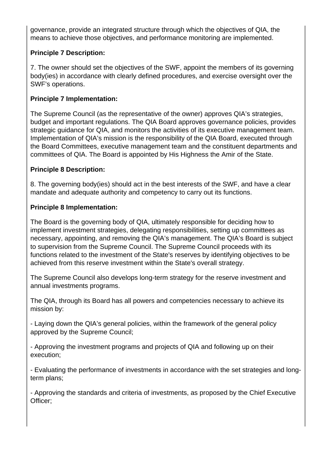governance, provide an integrated structure through which the objectives of QIA, the means to achieve those objectives, and performance monitoring are implemented.

## **Principle 7 Description:**

7. The owner should set the objectives of the SWF, appoint the members of its governing body(ies) in accordance with clearly defined procedures, and exercise oversight over the SWF's operations.

#### **Principle 7 Implementation:**

The Supreme Council (as the representative of the owner) approves QIA's strategies, budget and important regulations. The QIA Board approves governance policies, provides strategic guidance for QIA, and monitors the activities of its executive management team. Implementation of QIA's mission is the responsibility of the QIA Board, executed through the Board Committees, executive management team and the constituent departments and committees of QIA. The Board is appointed by His Highness the Amir of the State.

#### **Principle 8 Description:**

8. The governing body(ies) should act in the best interests of the SWF, and have a clear mandate and adequate authority and competency to carry out its functions.

#### **Principle 8 Implementation:**

The Board is the governing body of QIA, ultimately responsible for deciding how to implement investment strategies, delegating responsibilities, setting up committees as necessary, appointing, and removing the QIA's management. The QIA's Board is subject to supervision from the Supreme Council. The Supreme Council proceeds with its functions related to the investment of the State's reserves by identifying objectives to be achieved from this reserve investment within the State's overall strategy.

The Supreme Council also develops long-term strategy for the reserve investment and annual investments programs.

The QIA, through its Board has all powers and competencies necessary to achieve its mission by:

- Laying down the QIA's general policies, within the framework of the general policy approved by the Supreme Council;

- Approving the investment programs and projects of QIA and following up on their execution;

- Evaluating the performance of investments in accordance with the set strategies and longterm plans;

- Approving the standards and criteria of investments, as proposed by the Chief Executive Officer;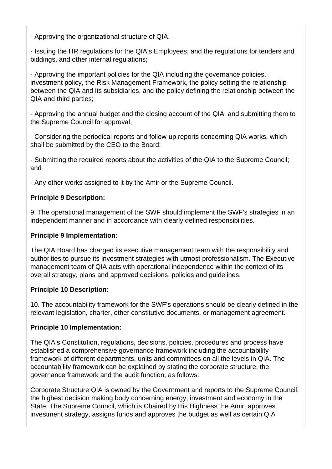- Approving the organizational structure of QIA.

- Issuing the HR regulations for the QIA's Employees, and the regulations for tenders and biddings, and other internal regulations;

- Approving the important policies for the QIA including the governance policies, investment policy, the Risk Management Framework, the policy setting the relationship between the QIA and its subsidiaries, and the policy defining the relationship between the QIA and third parties;

- Approving the annual budget and the closing account of the QIA, and submitting them to the Supreme Council for approval;

- Considering the periodical reports and follow-up reports concerning QIA works, which shall be submitted by the CEO to the Board;

- Submitting the required reports about the activities of the QIA to the Supreme Council; and

- Any other works assigned to it by the Amir or the Supreme Council.

## **Principle 9 Description:**

9. The operational management of the SWF should implement the SWF's strategies in an independent manner and in accordance with clearly defined responsibilities.

#### **Principle 9 Implementation:**

The QIA Board has charged its executive management team with the responsibility and authorities to pursue its investment strategies with utmost professionalism. The Executive management team of QIA acts with operational independence within the context of its overall strategy, plans and approved decisions, policies and guidelines.

#### **Principle 10 Description:**

10. The accountability framework for the SWF's operations should be clearly defined in the relevant legislation, charter, other constitutive documents, or management agreement.

## **Principle 10 Implementation:**

The QIA's Constitution, regulations, decisions, policies, procedures and process have established a comprehensive governance framework including the accountability framework of different departments, units and committees on all the levels in QIA. The accountability framework can be explained by stating the corporate structure, the governance framework and the audit function, as follows:

Corporate Structure QIA is owned by the Government and reports to the Supreme Council, the highest decision making body concerning energy, investment and economy in the State. The Supreme Council, which is Chaired by His Highness the Amir, approves investment strategy, assigns funds and approves the budget as well as certain QIA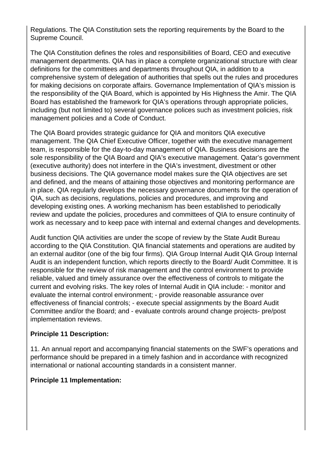Regulations. The QIA Constitution sets the reporting requirements by the Board to the Supreme Council.

The QIA Constitution defines the roles and responsibilities of Board, CEO and executive management departments. QIA has in place a complete organizational structure with clear definitions for the committees and departments throughout QIA, in addition to a comprehensive system of delegation of authorities that spells out the rules and procedures for making decisions on corporate affairs. Governance Implementation of QIA's mission is the responsibility of the QIA Board, which is appointed by His Highness the Amir. The QIA Board has established the framework for QIA's operations through appropriate policies, including (but not limited to) several governance polices such as investment policies, risk management policies and a Code of Conduct.

The QIA Board provides strategic guidance for QIA and monitors QIA executive management. The QIA Chief Executive Officer, together with the executive management team, is responsible for the day-to-day management of QIA. Business decisions are the sole responsibility of the QIA Board and QIA's executive management. Qatar's government (executive authority) does not interfere in the QIA's investment, divestment or other business decisions. The QIA governance model makes sure the QIA objectives are set and defined, and the means of attaining those objectives and monitoring performance are in place. QIA regularly develops the necessary governance documents for the operation of QIA, such as decisions, regulations, policies and procedures, and improving and developing existing ones. A working mechanism has been established to periodically review and update the policies, procedures and committees of QIA to ensure continuity of work as necessary and to keep pace with internal and external changes and developments.

Audit function QIA activities are under the scope of review by the State Audit Bureau according to the QIA Constitution. QIA financial statements and operations are audited by an external auditor (one of the big four firms). QIA Group Internal Audit QIA Group Internal Audit is an independent function, which reports directly to the Board/ Audit Committee. It is responsible for the review of risk management and the control environment to provide reliable, valued and timely assurance over the effectiveness of controls to mitigate the current and evolving risks. The key roles of Internal Audit in QIA include: - monitor and evaluate the internal control environment; - provide reasonable assurance over effectiveness of financial controls; - execute special assignments by the Board Audit Committee and/or the Board; and - evaluate controls around change projects- pre/post implementation reviews.

#### **Principle 11 Description:**

11. An annual report and accompanying financial statements on the SWF's operations and performance should be prepared in a timely fashion and in accordance with recognized international or national accounting standards in a consistent manner.

## **Principle 11 Implementation:**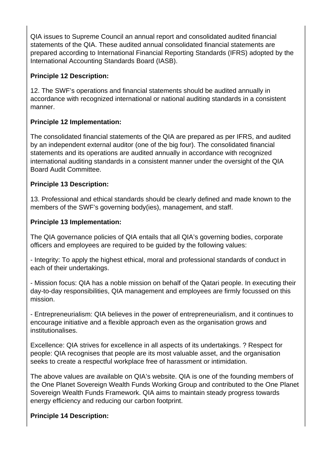QIA issues to Supreme Council an annual report and consolidated audited financial statements of the QIA. These audited annual consolidated financial statements are prepared according to International Financial Reporting Standards (IFRS) adopted by the International Accounting Standards Board (IASB).

# **Principle 12 Description:**

12. The SWF's operations and financial statements should be audited annually in accordance with recognized international or national auditing standards in a consistent manner.

# **Principle 12 Implementation:**

The consolidated financial statements of the QIA are prepared as per IFRS, and audited by an independent external auditor (one of the big four). The consolidated financial statements and its operations are audited annually in accordance with recognized international auditing standards in a consistent manner under the oversight of the QIA Board Audit Committee.

# **Principle 13 Description:**

13. Professional and ethical standards should be clearly defined and made known to the members of the SWF's governing body(ies), management, and staff.

# **Principle 13 Implementation:**

The QIA governance policies of QIA entails that all QIA's governing bodies, corporate officers and employees are required to be guided by the following values:

- Integrity: To apply the highest ethical, moral and professional standards of conduct in each of their undertakings.

- Mission focus: QIA has a noble mission on behalf of the Qatari people. In executing their day-to-day responsibilities, QIA management and employees are firmly focussed on this mission.

- Entrepreneurialism: QIA believes in the power of entrepreneurialism, and it continues to encourage initiative and a flexible approach even as the organisation grows and institutionalises.

Excellence: QIA strives for excellence in all aspects of its undertakings. ? Respect for people: QIA recognises that people are its most valuable asset, and the organisation seeks to create a respectful workplace free of harassment or intimidation.

The above values are available on QIA's website. QIA is one of the founding members of the One Planet Sovereign Wealth Funds Working Group and contributed to the One Planet Sovereign Wealth Funds Framework. QIA aims to maintain steady progress towards energy efficiency and reducing our carbon footprint.

## **Principle 14 Description:**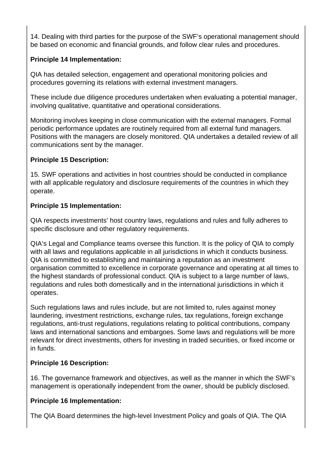14. Dealing with third parties for the purpose of the SWF's operational management should be based on economic and financial grounds, and follow clear rules and procedures.

## **Principle 14 Implementation:**

QIA has detailed selection, engagement and operational monitoring policies and procedures governing its relations with external investment managers.

These include due diligence procedures undertaken when evaluating a potential manager, involving qualitative, quantitative and operational considerations.

Monitoring involves keeping in close communication with the external managers. Formal periodic performance updates are routinely required from all external fund managers. Positions with the managers are closely monitored. QIA undertakes a detailed review of all communications sent by the manager.

## **Principle 15 Description:**

15. SWF operations and activities in host countries should be conducted in compliance with all applicable regulatory and disclosure requirements of the countries in which they operate.

## **Principle 15 Implementation:**

QIA respects investments' host country laws, regulations and rules and fully adheres to specific disclosure and other regulatory requirements.

QIA's Legal and Compliance teams oversee this function. It is the policy of QIA to comply with all laws and regulations applicable in all jurisdictions in which it conducts business. QIA is committed to establishing and maintaining a reputation as an investment organisation committed to excellence in corporate governance and operating at all times to the highest standards of professional conduct. QIA is subject to a large number of laws, regulations and rules both domestically and in the international jurisdictions in which it operates.

Such regulations laws and rules include, but are not limited to, rules against money laundering, investment restrictions, exchange rules, tax regulations, foreign exchange regulations, anti-trust regulations, regulations relating to political contributions, company laws and international sanctions and embargoes. Some laws and regulations will be more relevant for direct investments, others for investing in traded securities, or fixed income or in funds.

## **Principle 16 Description:**

16. The governance framework and objectives, as well as the manner in which the SWF's management is operationally independent from the owner, should be publicly disclosed.

#### **Principle 16 Implementation:**

The QIA Board determines the high-level Investment Policy and goals of QIA. The QIA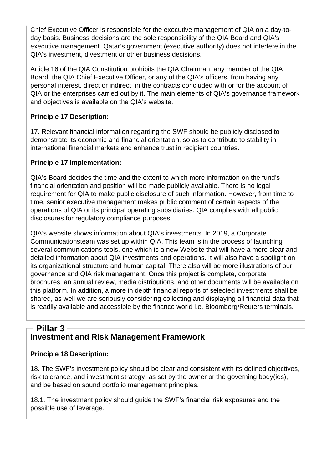Chief Executive Officer is responsible for the executive management of QIA on a day-today basis. Business decisions are the sole responsibility of the QIA Board and QIA's executive management. Qatar's government (executive authority) does not interfere in the QIA's investment, divestment or other business decisions.

Article 16 of the QIA Constitution prohibits the QIA Chairman, any member of the QIA Board, the QIA Chief Executive Officer, or any of the QIA's officers, from having any personal interest, direct or indirect, in the contracts concluded with or for the account of QIA or the enterprises carried out by it. The main elements of QIA's governance framework and objectives is available on the QIA's website.

## **Principle 17 Description:**

17. Relevant financial information regarding the SWF should be publicly disclosed to demonstrate its economic and financial orientation, so as to contribute to stability in international financial markets and enhance trust in recipient countries.

## **Principle 17 Implementation:**

QIA's Board decides the time and the extent to which more information on the fund's financial orientation and position will be made publicly available. There is no legal requirement for QIA to make public disclosure of such information. However, from time to time, senior executive management makes public comment of certain aspects of the operations of QIA or its principal operating subsidiaries. QIA complies with all public disclosures for regulatory compliance purposes.

QIA's website shows information about QIA's investments. In 2019, a Corporate Communicationsteam was set up within QIA. This team is in the process of launching several communications tools, one which is a new Website that will have a more clear and detailed information about QIA investments and operations. It will also have a spotlight on its organizational structure and human capital. There also will be more illustrations of our governance and QIA risk management. Once this project is complete, corporate brochures, an annual review, media distributions, and other documents will be available on this platform. In addition, a more in depth financial reports of selected investments shall be shared, as well we are seriously considering collecting and displaying all financial data that is readily available and accessible by the finance world i.e. Bloomberg/Reuters terminals.

## **Investment and Risk Management Framework Pillar 3**

## **Principle 18 Description:**

18. The SWF's investment policy should be clear and consistent with its defined objectives, risk tolerance, and investment strategy, as set by the owner or the governing body(ies), and be based on sound portfolio management principles.

18.1. The investment policy should guide the SWF's financial risk exposures and the possible use of leverage.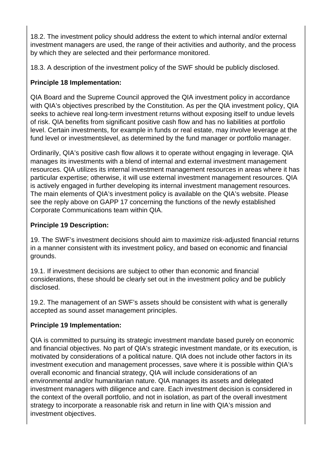18.2. The investment policy should address the extent to which internal and/or external investment managers are used, the range of their activities and authority, and the process by which they are selected and their performance monitored.

18.3. A description of the investment policy of the SWF should be publicly disclosed.

# **Principle 18 Implementation:**

QIA Board and the Supreme Council approved the QIA investment policy in accordance with QIA's objectives prescribed by the Constitution. As per the QIA investment policy, QIA seeks to achieve real long-term investment returns without exposing itself to undue levels of risk. QIA benefits from significant positive cash flow and has no liabilities at portfolio level. Certain investments, for example in funds or real estate, may involve leverage at the fund level or investmentslevel, as determined by the fund manager or portfolio manager.

Ordinarily, QIA's positive cash flow allows it to operate without engaging in leverage. QIA manages its investments with a blend of internal and external investment management resources. QIA utilizes its internal investment management resources in areas where it has particular expertise; otherwise, it will use external investment management resources. QIA is actively engaged in further developing its internal investment management resources. The main elements of QIA's investment policy is available on the QIA's website. Please see the reply above on GAPP 17 concerning the functions of the newly established Corporate Communications team within QIA.

## **Principle 19 Description:**

19. The SWF's investment decisions should aim to maximize risk-adjusted financial returns in a manner consistent with its investment policy, and based on economic and financial grounds.

19.1. If investment decisions are subject to other than economic and financial considerations, these should be clearly set out in the investment policy and be publicly disclosed.

19.2. The management of an SWF's assets should be consistent with what is generally accepted as sound asset management principles.

## **Principle 19 Implementation:**

QIA is committed to pursuing its strategic investment mandate based purely on economic and financial objectives. No part of QIA's strategic investment mandate, or its execution, is motivated by considerations of a political nature. QIA does not include other factors in its investment execution and management processes, save where it is possible within QIA's overall economic and financial strategy, QIA will include considerations of an environmental and/or humanitarian nature. QIA manages its assets and delegated investment managers with diligence and care. Each investment decision is considered in the context of the overall portfolio, and not in isolation, as part of the overall investment strategy to incorporate a reasonable risk and return in line with QIA's mission and investment objectives.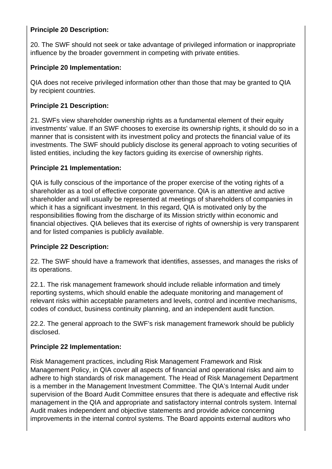## **Principle 20 Description:**

20. The SWF should not seek or take advantage of privileged information or inappropriate influence by the broader government in competing with private entities.

#### **Principle 20 Implementation:**

QIA does not receive privileged information other than those that may be granted to QIA by recipient countries.

## **Principle 21 Description:**

21. SWFs view shareholder ownership rights as a fundamental element of their equity investments' value. If an SWF chooses to exercise its ownership rights, it should do so in a manner that is consistent with its investment policy and protects the financial value of its investments. The SWF should publicly disclose its general approach to voting securities of listed entities, including the key factors guiding its exercise of ownership rights.

#### **Principle 21 Implementation:**

QIA is fully conscious of the importance of the proper exercise of the voting rights of a shareholder as a tool of effective corporate governance. QIA is an attentive and active shareholder and will usually be represented at meetings of shareholders of companies in which it has a significant investment. In this regard, QIA is motivated only by the responsibilities flowing from the discharge of its Mission strictly within economic and financial objectives. QIA believes that its exercise of rights of ownership is very transparent and for listed companies is publicly available.

#### **Principle 22 Description:**

22. The SWF should have a framework that identifies, assesses, and manages the risks of its operations.

22.1. The risk management framework should include reliable information and timely reporting systems, which should enable the adequate monitoring and management of relevant risks within acceptable parameters and levels, control and incentive mechanisms, codes of conduct, business continuity planning, and an independent audit function.

22.2. The general approach to the SWF's risk management framework should be publicly disclosed.

#### **Principle 22 Implementation:**

Risk Management practices, including Risk Management Framework and Risk Management Policy, in QIA cover all aspects of financial and operational risks and aim to adhere to high standards of risk management. The Head of Risk Management Department is a member in the Management Investment Committee. The QIA's Internal Audit under supervision of the Board Audit Committee ensures that there is adequate and effective risk management in the QIA and appropriate and satisfactory internal controls system. Internal Audit makes independent and objective statements and provide advice concerning improvements in the internal control systems. The Board appoints external auditors who